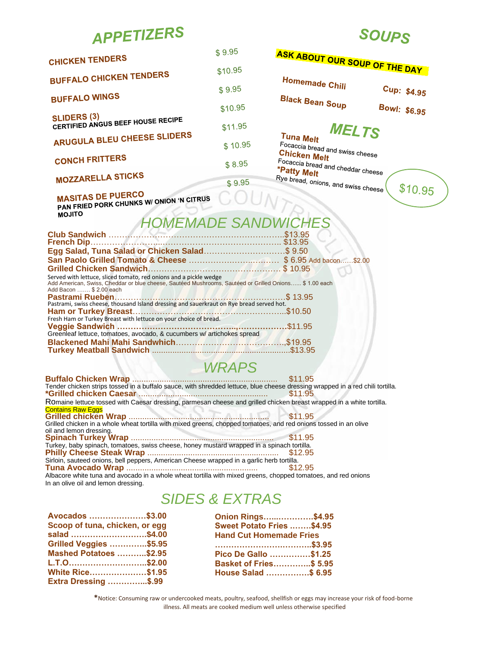|  | <b>APPETIZERS</b> |  |  |
|--|-------------------|--|--|
|--|-------------------|--|--|

| <b>CHICKEN TENDERS</b>                                  | \$9.95  |
|---------------------------------------------------------|---------|
| <b>BUFFALO CHICKEN TENDERS</b>                          | \$10.95 |
|                                                         | \$9.95  |
| <b>BUFFALO WINGS</b>                                    | \$10.95 |
| <b>SLIDERS (3)</b><br>CERTIFIED ANGUS BEEF HOUSE RECIPE | \$11.95 |
| ARUGULA BLEU CHEESE SLIDERS                             | \$10.95 |
| <b>CONCH FRITTERS</b>                                   | \$8.95  |
| <b>MOZZARELLA STICKS</b>                                | \$9.95  |

## **SOUPS**

|         | ASK ABOUT OUR SOUP OF THE DAY                                                                                                                                  |              |                             |
|---------|----------------------------------------------------------------------------------------------------------------------------------------------------------------|--------------|-----------------------------|
|         | <b>Homemade Chili</b><br><b>Black Bean Soup</b>                                                                                                                |              | Cup: \$4.95<br>Bowl: \$6.95 |
| 5       | Tuna Melt<br>Focaccia bread and swiss cheese<br><b>Chicken Melt</b><br>Focaccia bread and cheddar cheese<br>*Patty Melt<br>Rye bread, onions, and swiss cheese | <b>MELTS</b> | \$10.95                     |
| WI<br>. | <b>DWICHES</b><br>\$13.95<br>\$13.95<br>. \$ 9.50<br>\$6.95 Add bacon<br>$\ldots$ \$10.95                                                                      | \$2.00       |                             |

MASITAS DE PUERCO<br>PAN FRIED PORK CHUNKS W/ ONION 'N CITRUS

**MOJITO** 

## **HOMEMADE SA**

| Egg Salad, Tuna Salad or Chicken Salad\$ 9.50                                                                                                                                                          |  |
|--------------------------------------------------------------------------------------------------------------------------------------------------------------------------------------------------------|--|
|                                                                                                                                                                                                        |  |
|                                                                                                                                                                                                        |  |
| Served with lettuce, sliced tomato, red onions and a pickle wedge<br>Add American, Swiss, Cheddar or blue cheese, Sautéed Mushrooms, Sautéed or Grilled Onions \$ 1.00 each<br>Add Bacon  \$ 2.00 each |  |
| Pastrami, swiss cheese, thousand Island dressing and sauerkraut on Rye bread served hot.                                                                                                               |  |
|                                                                                                                                                                                                        |  |
| Fresh Ham or Turkey Breast with lettuce on your choice of bread.                                                                                                                                       |  |
|                                                                                                                                                                                                        |  |
| Greenleaf lettuce, tomatoes, avocado, & cucumbers w/ artichokes spread                                                                                                                                 |  |
|                                                                                                                                                                                                        |  |
|                                                                                                                                                                                                        |  |

## *WRAPS*

| Tender chicken strips tossed in a buffalo sauce, with shredded lettuce, blue cheese dressing wrapped in a red chili tortilla.                                                                                                 |         |
|-------------------------------------------------------------------------------------------------------------------------------------------------------------------------------------------------------------------------------|---------|
|                                                                                                                                                                                                                               | \$11.95 |
| Romaine lettuce tossed with Caesar dressing, parmesan cheese and grilled chicken breast wrapped in a white tortilla.                                                                                                          |         |
| <b>Contains Raw Eggs</b>                                                                                                                                                                                                      |         |
|                                                                                                                                                                                                                               |         |
| Grilled chicken in a whole wheat tortilla with mixed greens, chopped tomatoes, and red onions tossed in an olive                                                                                                              |         |
| oil and lemon dressing.                                                                                                                                                                                                       |         |
|                                                                                                                                                                                                                               |         |
| Turkey, baby spinach, tomatoes, swiss cheese, honey mustard wrapped in a spinach tortilla.                                                                                                                                    |         |
|                                                                                                                                                                                                                               |         |
| Sirloin, sauteed onions, bell peppers, American Cheese wrapped in a garlic herb tortilla.                                                                                                                                     |         |
|                                                                                                                                                                                                                               | \$12.95 |
| A REPORT OF THE REPORT OF THE REPORT OF THE REPORT OF THE REPORT OF THE REPORT OF THE REPORT OF THE REPORT OF THE REPORT OF THE REPORT OF THE REPORT OF THE REPORT OF THE REPORT OF THE REPORT OF THE REPORT OF THE REPORT OF |         |

Albacore white tuna and avocado in a whole wheat tortilla with mixed greens, chopped tomatoes, and red onions In an olive oil and lemon dressing.

## *SIDES & EXTRAS*

| Avocados \$3.00                |  |
|--------------------------------|--|
| Scoop of tuna, chicken, or egg |  |
| salad \$4.00                   |  |
| <b>Grilled Veggies \$5.95</b>  |  |
| <b>Mashed Potatoes \$2.95</b>  |  |
| L.T.O\$2.00                    |  |
| <b>White Rice\$1.95</b>        |  |
| <b>Extra Dressing \$.99</b>    |  |
|                                |  |

| Onion Rings\$4.95                |  |
|----------------------------------|--|
| <b>Sweet Potato Fries \$4.95</b> |  |
| <b>Hand Cut Homemade Fries</b>   |  |
|                                  |  |
| Pico De Gallo \$1.25             |  |
| <b>Basket of Fries\$ 5.95</b>    |  |
| House Salad \$ 6.95              |  |

**\***Notice: Consuming raw or undercooked meats, poultry, seafood, shellfish or eggs may increase your risk of food-borne illness. All meats are cooked medium well unless otherwise specified